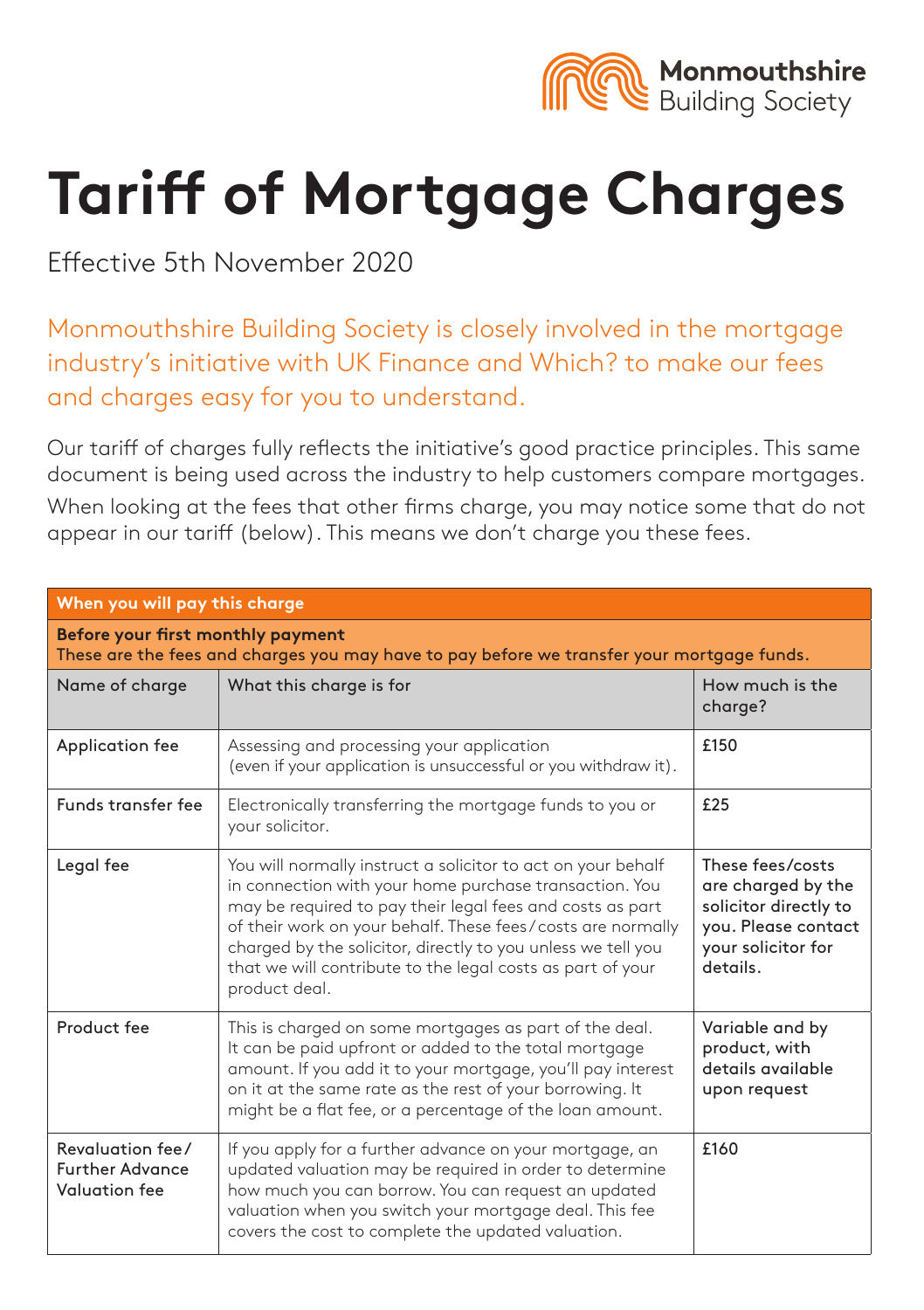

# **Tariff of Mortgage Charges**

Effective 5th November 2020

Monmouthshire Building Society is closely involved in the mortgage industry's initiative with UK Finance and Which? to make our fees and charges easy for you to understand.

Our tariff of charges fully reflects the initiative's good practice principles. This same document is being used across the industry to help customers compare mortgages.

When looking at the fees that other firms charge, you may notice some that do not appear in our tariff (below). This means we don't charge you these fees.

| When you will pay this charge                                                                                                   |                                                                                                                                                                                                                                                                                                                                                                                                   |                                                                                                                          |
|---------------------------------------------------------------------------------------------------------------------------------|---------------------------------------------------------------------------------------------------------------------------------------------------------------------------------------------------------------------------------------------------------------------------------------------------------------------------------------------------------------------------------------------------|--------------------------------------------------------------------------------------------------------------------------|
| Before your first monthly payment<br>These are the fees and charges you may have to pay before we transfer your mortgage funds. |                                                                                                                                                                                                                                                                                                                                                                                                   |                                                                                                                          |
| Name of charge                                                                                                                  | What this charge is for                                                                                                                                                                                                                                                                                                                                                                           | How much is the<br>charge?                                                                                               |
| Application fee                                                                                                                 | Assessing and processing your application<br>(even if your application is unsuccessful or you withdraw it).                                                                                                                                                                                                                                                                                       | £150                                                                                                                     |
| Funds transfer fee                                                                                                              | Electronically transferring the mortgage funds to you or<br>your solicitor.                                                                                                                                                                                                                                                                                                                       | £25                                                                                                                      |
| Legal fee                                                                                                                       | You will normally instruct a solicitor to act on your behalf<br>in connection with your home purchase transaction. You<br>may be required to pay their legal fees and costs as part<br>of their work on your behalf. These fees/costs are normally<br>charged by the solicitor, directly to you unless we tell you<br>that we will contribute to the legal costs as part of your<br>product deal. | These fees/costs<br>are charged by the<br>solicitor directly to<br>you. Please contact<br>your solicitor for<br>details. |
| Product fee                                                                                                                     | This is charged on some mortgages as part of the deal.<br>Variable and by<br>It can be paid upfront or added to the total mortgage<br>product, with<br>details available<br>amount. If you add it to your mortgage, you'll pay interest<br>on it at the same rate as the rest of your borrowing. It<br>upon request<br>might be a flat fee, or a percentage of the loan amount.                   |                                                                                                                          |
| Revaluation fee/<br><b>Further Advance</b><br>Valuation fee                                                                     | If you apply for a further advance on your mortgage, an<br>updated valuation may be required in order to determine<br>how much you can borrow. You can request an updated<br>valuation when you switch your mortgage deal. This fee<br>covers the cost to complete the updated valuation.                                                                                                         | £160                                                                                                                     |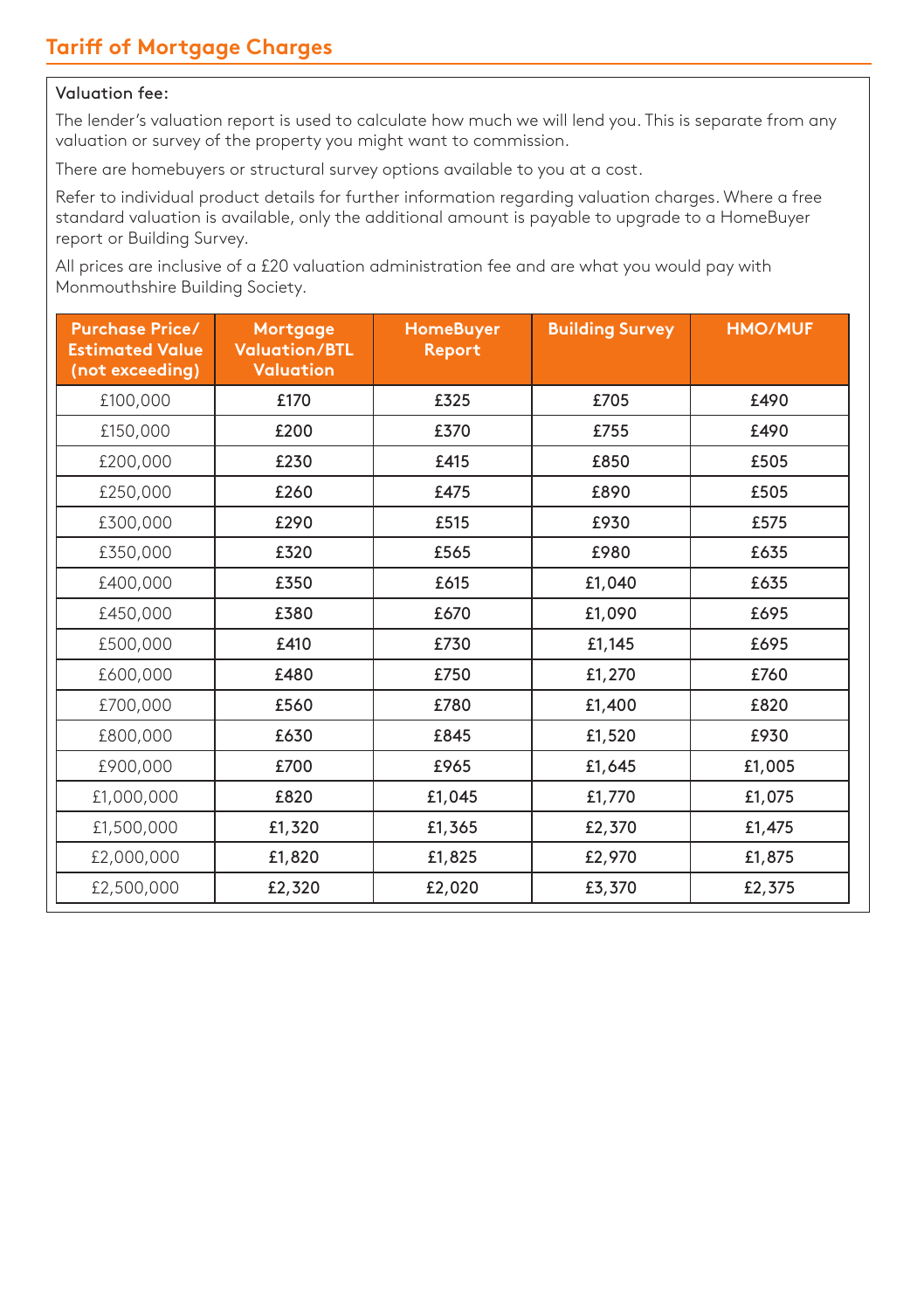### Valuation fee:

The lender's valuation report is used to calculate how much we will lend you. This is separate from any valuation or survey of the property you might want to commission.

There are homebuyers or structural survey options available to you at a cost.

Refer to individual product details for further information regarding valuation charges. Where a free standard valuation is available, only the additional amount is payable to upgrade to a HomeBuyer report or Building Survey.

All prices are inclusive of a £20 valuation administration fee and are what you would pay with Monmouthshire Building Society.

| <b>Purchase Price/</b><br><b>Estimated Value</b><br>(not exceeding) | Mortgage<br><b>Valuation/BTL</b><br>Valuation | <b>HomeBuyer</b><br>Report | <b>Building Survey</b> | <b>HMO/MUF</b> |
|---------------------------------------------------------------------|-----------------------------------------------|----------------------------|------------------------|----------------|
| £100,000                                                            | £170                                          | £325                       | £705                   | £490           |
| £150,000                                                            | £200                                          | £370                       | £755                   | £490           |
| £200,000                                                            | £230                                          | £415                       | £850                   | £505           |
| £250,000                                                            | £260                                          | £475                       | £890                   | £505           |
| £300,000                                                            | £290                                          | £515                       | £930                   | £575           |
| £350,000                                                            | £320                                          | £565                       | £980                   | £635           |
| £400,000                                                            | £350                                          | £615                       | £1,040                 | £635           |
| £450,000                                                            | £380                                          | £670                       | £1,090                 | £695           |
| £500,000                                                            | £410                                          | £730                       | £1,145                 | £695           |
| £600,000                                                            | £480                                          | £750                       | £1,270                 | £760           |
| £700,000                                                            | £560                                          | £780                       | £1,400                 | £820           |
| £800,000                                                            | £630                                          | £845                       | £1,520                 | £930           |
| £900,000                                                            | £700                                          | £965                       | £1,645                 | £1,005         |
| £1,000,000                                                          | £820                                          | £1,045                     | £1,770                 | £1,075         |
| £1,500,000                                                          | £1,320                                        | £1,365                     | £2,370                 | £1,475         |
| £2,000,000                                                          | £1,820                                        | £1,825                     | £2,970                 | £1,875         |
| £2,500,000                                                          | £2,320                                        | £2,020                     | £3,370                 | £2,375         |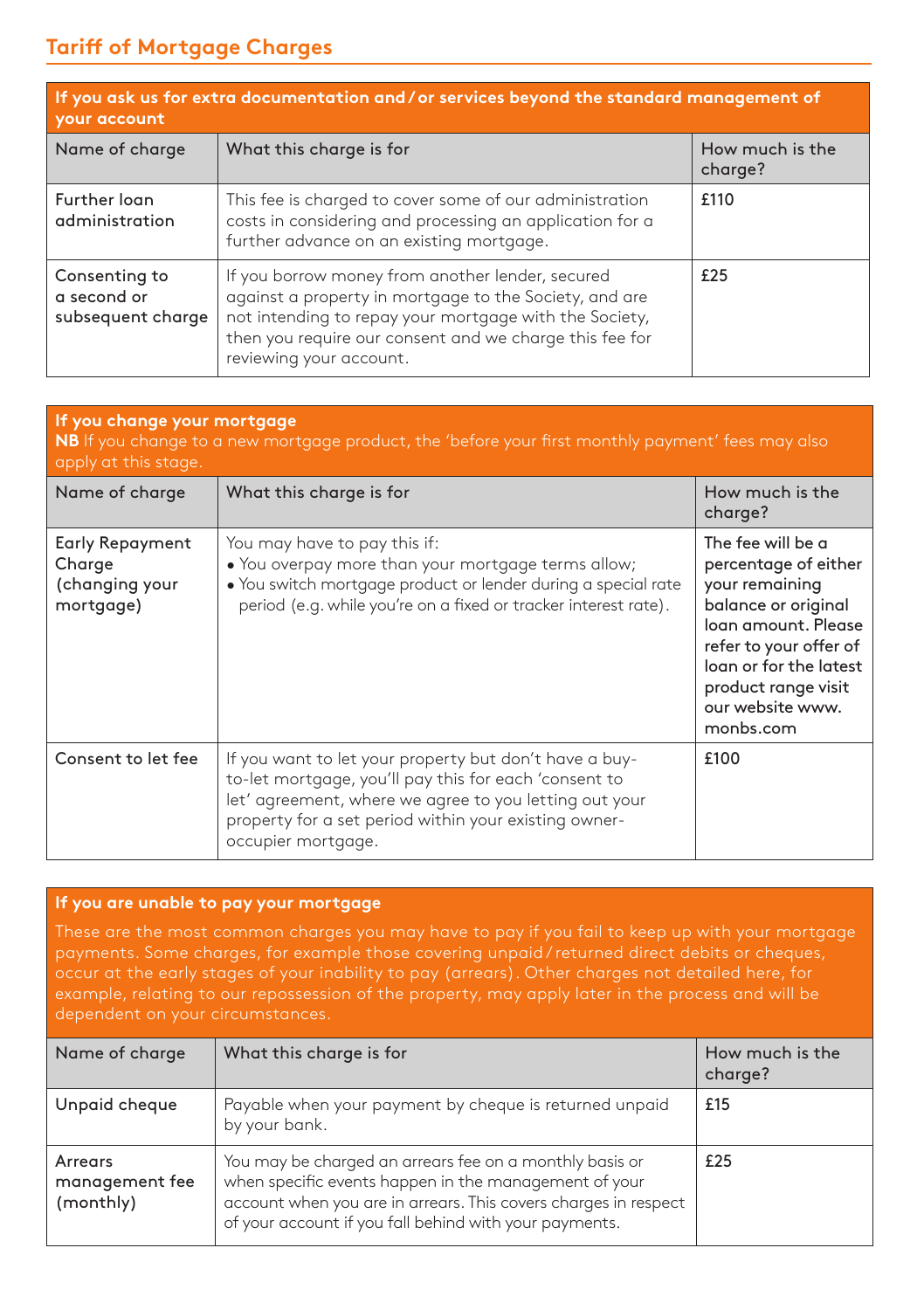## **Tariff of Mortgage Charges**

| If you ask us for extra documentation and / or services beyond the standard management of<br><b>your account</b> |                                                                                                                                                                                                                                                            |                            |
|------------------------------------------------------------------------------------------------------------------|------------------------------------------------------------------------------------------------------------------------------------------------------------------------------------------------------------------------------------------------------------|----------------------------|
| Name of charge                                                                                                   | What this charge is for                                                                                                                                                                                                                                    | How much is the<br>charge? |
| Further loan<br>administration                                                                                   | This fee is charged to cover some of our administration<br>costs in considering and processing an application for a<br>further advance on an existing mortgage.                                                                                            | £110                       |
| Consenting to<br>a second or<br>subsequent charge                                                                | If you borrow money from another lender, secured<br>against a property in mortgage to the Society, and are<br>not intending to repay your mortgage with the Society,<br>then you require our consent and we charge this fee for<br>reviewing your account. | £25                        |

| If you change your mortgage<br><b>NB</b> If you change to a new mortgage product, the 'before your first monthly payment' fees may also<br>apply at this stage. |                                                                                                                                                                                                                                                          |                                                                                                                                                                                                                       |
|-----------------------------------------------------------------------------------------------------------------------------------------------------------------|----------------------------------------------------------------------------------------------------------------------------------------------------------------------------------------------------------------------------------------------------------|-----------------------------------------------------------------------------------------------------------------------------------------------------------------------------------------------------------------------|
| Name of charge                                                                                                                                                  | What this charge is for                                                                                                                                                                                                                                  | How much is the<br>charge?                                                                                                                                                                                            |
| Early Repayment<br>Charge<br>(changing your<br>mortgage)                                                                                                        | You may have to pay this if:<br>. You overpay more than your mortgage terms allow;<br>. You switch mortgage product or lender during a special rate<br>period (e.g. while you're on a fixed or tracker interest rate).                                   | The fee will be a<br>percentage of either<br>your remaining<br>balance or original<br>loan amount, Please<br>refer to your offer of<br>loan or for the latest<br>product range visit<br>our website www.<br>monbs.com |
| Consent to let fee                                                                                                                                              | If you want to let your property but don't have a buy-<br>to-let mortgage, you'll pay this for each 'consent to<br>let' agreement, where we agree to you letting out your<br>property for a set period within your existing owner-<br>occupier mortgage. | £100                                                                                                                                                                                                                  |

### **If you are unable to pay your mortgage**

| Name of charge                         | What this charge is for                                                                                                                                                                                                                       | How much is the<br>charge? |
|----------------------------------------|-----------------------------------------------------------------------------------------------------------------------------------------------------------------------------------------------------------------------------------------------|----------------------------|
| Unpaid cheque                          | Payable when your payment by cheque is returned unpaid<br>by your bank.                                                                                                                                                                       | £15                        |
| Arrears<br>management fee<br>(monthly) | You may be charged an arrears fee on a monthly basis or<br>when specific events happen in the management of your<br>account when you are in arrears. This covers charges in respect<br>of your account if you fall behind with your payments. | £25                        |